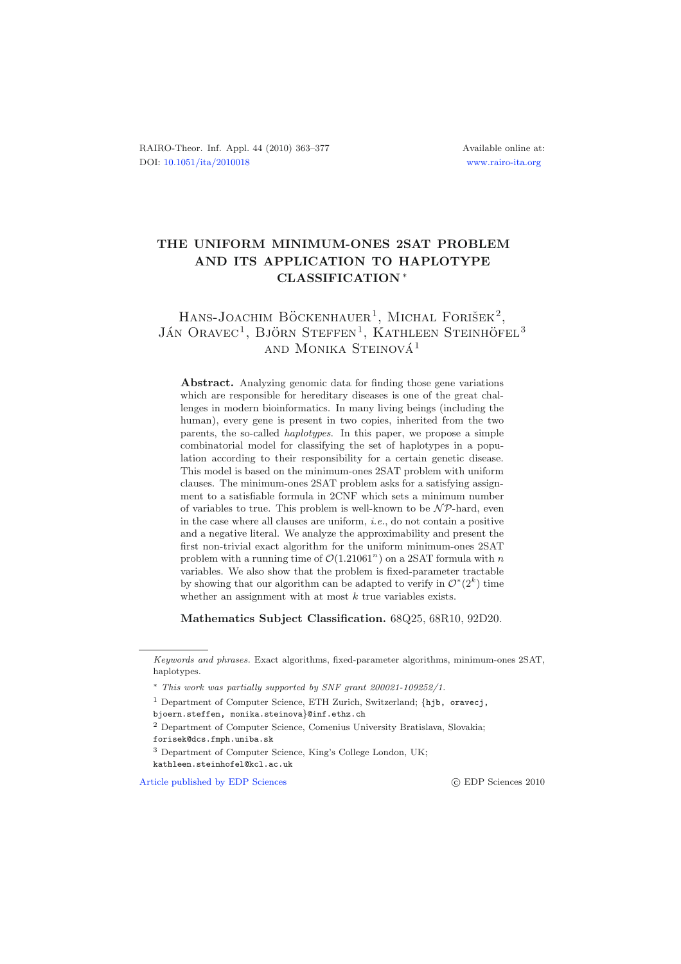# **THE UNIFORM MINIMUM-ONES 2SAT PROBLEM AND ITS APPLICATION TO HAPLOTYPE CLASSIFICATION** <sup>∗</sup>

# HANS-JOACHIM BÖCKENHAUER<sup>1</sup>, MICHAL FORIŠEK<sup>2</sup>, JÁN ORAVEC<sup>1</sup>, BJÖRN STEFFEN<sup>1</sup>, KATHLEEN STEINHÖFEL<sup>3</sup> and Monika Steinová<sup>1</sup>

**Abstract.** Analyzing genomic data for finding those gene variations which are responsible for hereditary diseases is one of the great challenges in modern bioinformatics. In many living beings (including the human), every gene is present in two copies, inherited from the two parents, the so-called *haplotypes*. In this paper, we propose a simple combinatorial model for classifying the set of haplotypes in a population according to their responsibility for a certain genetic disease. This model is based on the minimum-ones 2SAT problem with uniform clauses. The minimum-ones 2SAT problem asks for a satisfying assignment to a satisfiable formula in 2CNF which sets a minimum number of variables to true. This problem is well-known to be  $N\mathcal{P}$ -hard, even in the case where all clauses are uniform, *i.e.*, do not contain a positive and a negative literal. We analyze the approximability and present the first non-trivial exact algorithm for the uniform minimum-ones 2SAT problem with a running time of  $\mathcal{O}(1.21061^n)$  on a 2SAT formula with *n* variables. We also show that the problem is fixed-parameter tractable by showing that our algorithm can be adapted to verify in  $\mathcal{O}^*(2^k)$  time whether an assignment with at most *k* true variables exists.

**Mathematics Subject Classification.** 68Q25, 68R10, 92D20.

[Article published by EDP Sciences](http://www.edpsciences.org) (C) EDP Sciences 2010

*Keywords and phrases.* Exact algorithms, fixed-parameter algorithms, minimum-ones 2SAT, haplotypes.

<sup>∗</sup> *This work was partially supported by SNF grant 200021-109252/1.*

<sup>&</sup>lt;sup>1</sup> Department of Computer Science, ETH Zurich, Switzerland; {hjb, oravecj,

bjoern.steffen, monika.steinova}@inf.ethz.ch

<sup>2</sup> Department of Computer Science, Comenius University Bratislava, Slovakia;

forisek@dcs.fmph.uniba.sk

<sup>3</sup> Department of Computer Science, King's College London, UK; kathleen.steinhofel@kcl.ac.uk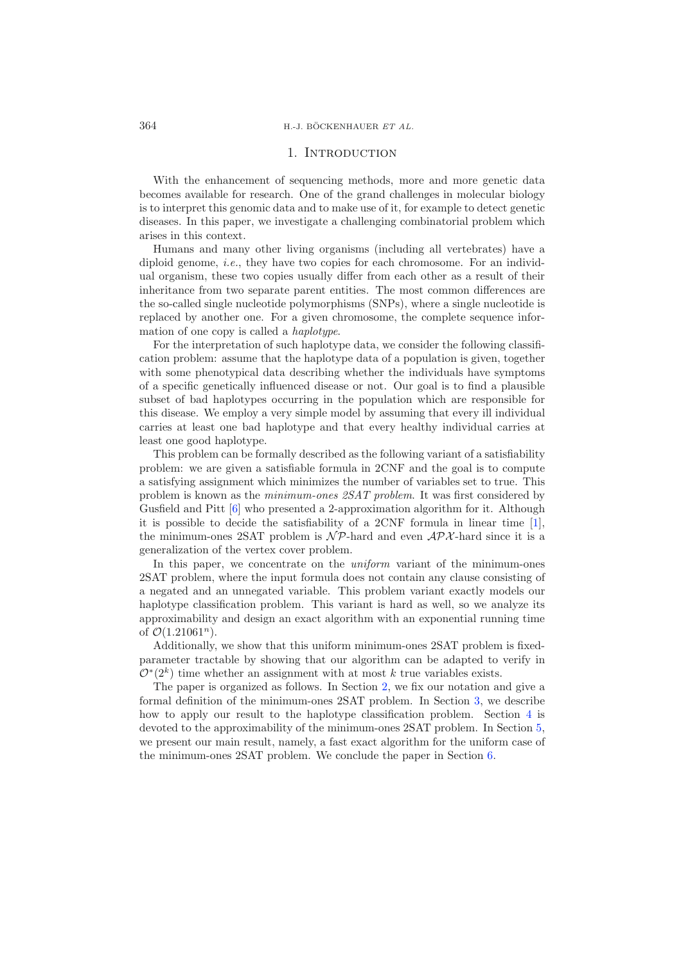# 364 H.-J. BÖCKENHAUER ET AL.

## 1. INTRODUCTION

With the enhancement of sequencing methods, more and more genetic data becomes available for research. One of the grand challenges in molecular biology is to interpret this genomic data and to make use of it, for example to detect genetic diseases. In this paper, we investigate a challenging combinatorial problem which arises in this context.

Humans and many other living organisms (including all vertebrates) have a diploid genome, *i.e.*, they have two copies for each chromosome. For an individual organism, these two copies usually differ from each other as a result of their inheritance from two separate parent entities. The most common differences are the so-called single nucleotide polymorphisms (SNPs), where a single nucleotide is replaced by another one. For a given chromosome, the complete sequence information of one copy is called a *haplotype*.

For the interpretation of such haplotype data, we consider the following classification problem: assume that the haplotype data of a population is given, together with some phenotypical data describing whether the individuals have symptoms of a specific genetically influenced disease or not. Our goal is to find a plausible subset of bad haplotypes occurring in the population which are responsible for this disease. We employ a very simple model by assuming that every ill individual carries at least one bad haplotype and that every healthy individual carries at least one good haplotype.

This problem can be formally described as the following variant of a satisfiability problem: we are given a satisfiable formula in 2CNF and the goal is to compute a satisfying assignment which minimizes the number of variables set to true. This problem is known as the *minimum-ones 2SAT problem*. It was first considered by Gusfield and Pitt [\[6\]](#page-14-0) who presented a 2-approximation algorithm for it. Although it is possible to decide the satisfiability of a 2CNF formula in linear time  $[1]$ , the minimum-ones 2SAT problem is  $N\mathcal{P}$ -hard and even  $\mathcal{APX}$ -hard since it is a generalization of the vertex cover problem.

In this paper, we concentrate on the *uniform* variant of the minimum-ones 2SAT problem, where the input formula does not contain any clause consisting of a negated and an unnegated variable. This problem variant exactly models our haplotype classification problem. This variant is hard as well, so we analyze its approximability and design an exact algorithm with an exponential running time of  $\mathcal{O}(1.21061^n)$ .

Additionally, we show that this uniform minimum-ones 2SAT problem is fixedparameter tractable by showing that our algorithm can be adapted to verify in  $\mathcal{O}^*(2^k)$  time whether an assignment with at most k true variables exists.

The paper is organized as follows. In Section [2,](#page-2-0) we fix our notation and give a formal definition of the minimum-ones 2SAT problem. In Section [3,](#page-3-0) we describe how to apply our result to the haplotype classification problem. Section [4](#page-4-0) is devoted to the approximability of the minimum-ones 2SAT problem. In Section [5,](#page-7-0) we present our main result, namely, a fast exact algorithm for the uniform case of the minimum-ones 2SAT problem. We conclude the paper in Section [6.](#page-14-2)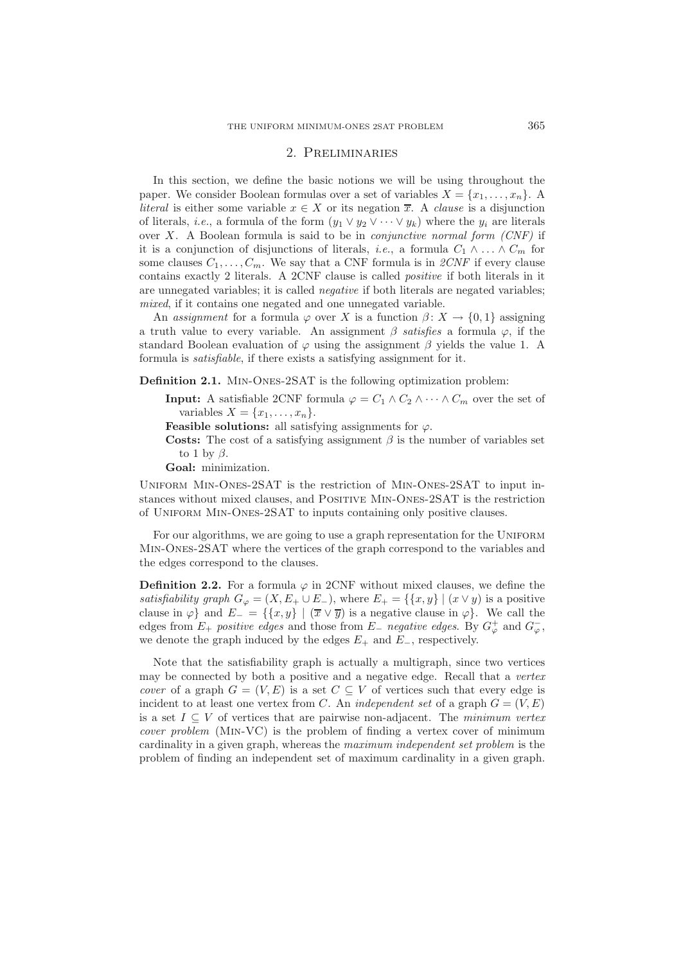#### 2. Preliminaries

<span id="page-2-0"></span>In this section, we define the basic notions we will be using throughout the paper. We consider Boolean formulas over a set of variables  $X = \{x_1, \ldots, x_n\}$ . A *literal* is either some variable  $x \in X$  or its negation  $\overline{x}$ . A *clause* is a disjunction of literals, *i.e.*, a formula of the form  $(y_1 \vee y_2 \vee \cdots \vee y_k)$  where the  $y_i$  are literals over X. A Boolean formula is said to be in *conjunctive normal form (CNF)* if it is a conjunction of disjunctions of literals, *i.e.*, a formula  $C_1 \wedge \ldots \wedge C_m$  for some clauses  $C_1, \ldots, C_m$ . We say that a CNF formula is in *2CNF* if every clause contains exactly 2 literals. A 2CNF clause is called *positive* if both literals in it are unnegated variables; it is called *negative* if both literals are negated variables; *mixed*, if it contains one negated and one unnegated variable.

An *assignment* for a formula  $\varphi$  over X is a function  $\beta: X \to \{0,1\}$  assigning a truth value to every variable. An assignment  $\beta$  *satisfies* a formula  $\varphi$ , if the standard Boolean evaluation of  $\varphi$  using the assignment  $\beta$  yields the value 1. A formula is *satisfiable*, if there exists a satisfying assignment for it.

<span id="page-2-1"></span>**Definition 2.1.** Min-Ones-2SAT is the following optimization problem:

**Input:** A satisfiable 2CNF formula  $\varphi = C_1 \wedge C_2 \wedge \cdots \wedge C_m$  over the set of variables  $X = \{x_1, \ldots, x_n\}.$ 

**Feasible solutions:** all satisfying assignments for  $\varphi$ .

**Costs:** The cost of a satisfying assignment  $\beta$  is the number of variables set to 1 by  $\beta$ .

**Goal:** minimization.

Uniform Min-Ones-2SAT is the restriction of Min-Ones-2SAT to input instances without mixed clauses, and Positive Min-Ones-2SAT is the restriction of Uniform Min-Ones-2SAT to inputs containing only positive clauses.

For our algorithms, we are going to use a graph representation for the UNIFORM Min-Ones-2SAT where the vertices of the graph correspond to the variables and the edges correspond to the clauses.

<span id="page-2-2"></span>**Definition 2.2.** For a formula  $\varphi$  in 2CNF without mixed clauses, we define the *satisfiability graph*  $G_{\varphi} = (X, E_+ \cup E_-)$ , where  $E_+ = \{\{x, y\} \mid (x \vee y)$  is a positive clause in  $\varphi$ } and  $E_ = {\{x, y\} | (\overline{x} \vee \overline{y})}$  is a negative clause in  $\varphi$ }. We call the edges from  $E_+$  *positive edges* and those from  $E_-$  *negative edges*. By  $G^+_{\varphi}$  and  $G^-_{\varphi}$ , we denote the graph induced by the edges  $E_+$  and  $E_-$ , respectively.

Note that the satisfiability graph is actually a multigraph, since two vertices may be connected by both a positive and a negative edge. Recall that a *vertex cover* of a graph  $G = (V, E)$  is a set  $C \subseteq V$  of vertices such that every edge is incident to at least one vertex from C. An *independent set* of a graph  $G = (V, E)$ is a set I ⊆ V of vertices that are pairwise non-adjacent. The *minimum vertex cover problem* (Min-VC) is the problem of finding a vertex cover of minimum cardinality in a given graph, whereas the *maximum independent set problem* is the problem of finding an independent set of maximum cardinality in a given graph.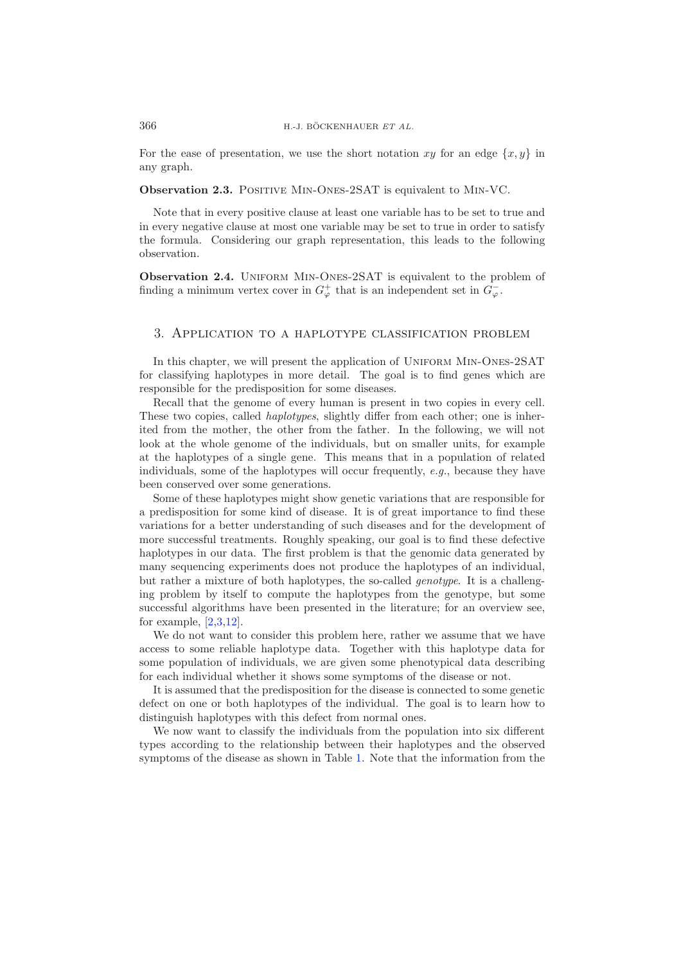<span id="page-3-2"></span>For the ease of presentation, we use the short notation  $xy$  for an edge  $\{x, y\}$  in any graph.

### **Observation 2.3.** POSITIVE MIN-ONES-2SAT is equivalent to MIN-VC.

Note that in every positive clause at least one variable has to be set to true and in every negative clause at most one variable may be set to true in order to satisfy the formula. Considering our graph representation, this leads to the following observation.

<span id="page-3-1"></span>**Observation 2.4.** UNIFORM MIN-ONES-2SAT is equivalent to the problem of finding a minimum vertex cover in  $G_{\varphi}^+$  that is an independent set in  $G_{\varphi}^-$ .

## 3. Application to a haplotype classification problem

<span id="page-3-0"></span>In this chapter, we will present the application of UNIFORM MIN-ONES-2SAT for classifying haplotypes in more detail. The goal is to find genes which are responsible for the predisposition for some diseases.

Recall that the genome of every human is present in two copies in every cell. These two copies, called *haplotypes*, slightly differ from each other; one is inherited from the mother, the other from the father. In the following, we will not look at the whole genome of the individuals, but on smaller units, for example at the haplotypes of a single gene. This means that in a population of related individuals, some of the haplotypes will occur frequently, *e.g.*, because they have been conserved over some generations.

Some of these haplotypes might show genetic variations that are responsible for a predisposition for some kind of disease. It is of great importance to find these variations for a better understanding of such diseases and for the development of more successful treatments. Roughly speaking, our goal is to find these defective haplotypes in our data. The first problem is that the genomic data generated by many sequencing experiments does not produce the haplotypes of an individual, but rather a mixture of both haplotypes, the so-called *genotype*. It is a challenging problem by itself to compute the haplotypes from the genotype, but some successful algorithms have been presented in the literature; for an overview see, for example,  $[2,3,12]$  $[2,3,12]$  $[2,3,12]$  $[2,3,12]$ .

We do not want to consider this problem here, rather we assume that we have access to some reliable haplotype data. Together with this haplotype data for some population of individuals, we are given some phenotypical data describing for each individual whether it shows some symptoms of the disease or not.

It is assumed that the predisposition for the disease is connected to some genetic defect on one or both haplotypes of the individual. The goal is to learn how to distinguish haplotypes with this defect from normal ones.

We now want to classify the individuals from the population into six different types according to the relationship between their haplotypes and the observed symptoms of the disease as shown in Table [1.](#page-4-1) Note that the information from the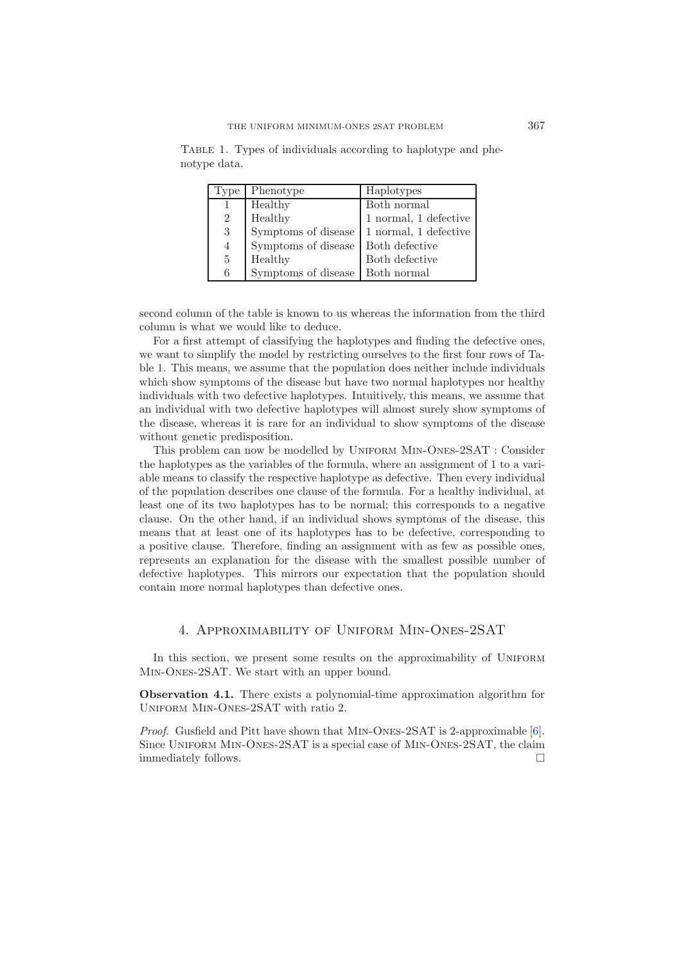| Type           | Phenotype           | Haplotypes            |
|----------------|---------------------|-----------------------|
|                | Healthy             | Both normal           |
| $\overline{2}$ | Healthy             | 1 normal, 1 defective |
| 3              | Symptoms of disease | 1 normal, 1 defective |
| 4              | Symptoms of disease | Both defective        |
| 5              | Healthy             | Both defective        |
| 6              | Symptoms of disease | Both normal           |

<span id="page-4-1"></span>TABLE 1. Types of individuals according to haplotype and phenotype data.

second column of the table is known to us whereas the information from the third column is what we would like to deduce.

For a first attempt of classifying the haplotypes and finding the defective ones, we want to simplify the model by restricting ourselves to the first four rows of Table [1.](#page-4-1) This means, we assume that the population does neither include individuals which show symptoms of the disease but have two normal haplotypes nor healthy individuals with two defective haplotypes. Intuitively, this means, we assume that an individual with two defective haplotypes will almost surely show symptoms of the disease, whereas it is rare for an individual to show symptoms of the disease without genetic predisposition.

This problem can now be modelled by Uniform Min-Ones-2SAT : Consider the haplotypes as the variables of the formula, where an assignment of 1 to a variable means to classify the respective haplotype as defective. Then every individual of the population describes one clause of the formula. For a healthy individual, at least one of its two haplotypes has to be normal; this corresponds to a negative clause. On the other hand, if an individual shows symptoms of the disease, this means that at least one of its haplotypes has to be defective, corresponding to a positive clause. Therefore, finding an assignment with as few as possible ones, represents an explanation for the disease with the smallest possible number of defective haplotypes. This mirrors our expectation that the population should contain more normal haplotypes than defective ones.

## 4. Approximability of Uniform Min-Ones-2SAT

<span id="page-4-0"></span>In this section, we present some results on the approximability of UNIFORM Min-Ones-2SAT. We start with an upper bound.

**Observation 4.1.** There exists a polynomial-time approximation algorithm for Uniform Min-Ones-2SAT with ratio 2.

*Proof.* Gusfield and Pitt have shown that MIN-ONES-2SAT is 2-approximable [\[6\]](#page-14-0). Since Uniform Min-Ones-2SAT is a special case of Min-Ones-2SAT, the claim immediately follows.  $\Box$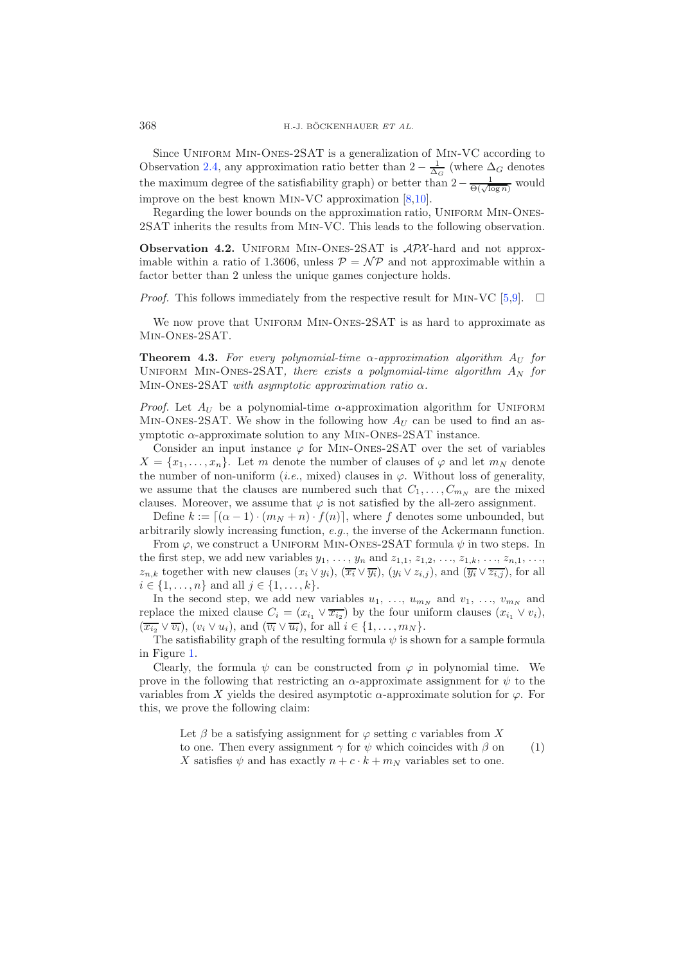Since UNIFORM MIN-ONES-2SAT is a generalization of MIN-VC according to Observation [2.4,](#page-3-1) any approximation ratio better than  $2 - \frac{1}{\Delta_G}$  (where  $\Delta_G$  denotes the maximum degree of the satisfiability graph) or better than  $2 - \frac{1}{\Theta(\sqrt{\log n})}$  would<br>improve on the best known MN VC approximation [8,10] improve on the best known Min-VC approximation [\[8](#page-14-6)[,10](#page-14-7)].

Regarding the lower bounds on the approximation ratio, UNIFORM MIN-ONES-2SAT inherits the results from Min-VC. This leads to the following observation.

**Observation 4.2.** UNIFORM MIN-ONES-2SAT is  $APX$ -hard and not approximable within a ratio of 1.3606, unless  $P = \mathcal{NP}$  and not approximable within a factor better than 2 unless the unique games conjecture holds.

*Proof.* This follows immediately from the respective result for MIN-VC [\[5](#page-14-8)[,9\]](#page-14-9).  $\Box$ 

We now prove that UNIFORM MIN-ONES-2SAT is as hard to approximate as Min-Ones-2SAT.

**Theorem 4.3.** For every polynomial-time  $\alpha$ -approximation algorithm  $A_U$  for UNIFORM MIN-ONES-2SAT, there exists a polynomial-time algorithm  $A_N$  for Min-Ones-2SAT *with asymptotic approximation ratio* α*.*

*Proof.* Let  $A_U$  be a polynomial-time  $\alpha$ -approximation algorithm for UNIFORM MIN-ONES-2SAT. We show in the following how  $A_U$  can be used to find an asymptotic  $\alpha$  -approximate solution to any MIN-ONES-2SAT instance.

Consider an input instance  $\varphi$  for MIN-ONES-2SAT over the set of variables  $X = \{x_1, \ldots, x_n\}$ . Let m denote the number of clauses of  $\varphi$  and let  $m_N$  denote the number of non-uniform (*i.e.*, mixed) clauses in  $\varphi$ . Without loss of generality, we assume that the clauses are numbered such that  $C_1, \ldots, C_{m_N}$  are the mixed clauses. Moreover, we assume that  $\varphi$  is not satisfied by the all-zero assignment.

Define  $k := [(\alpha - 1) \cdot (m_N + n) \cdot f(n)]$ , where f denotes some unbounded, but arbitrarily slowly increasing function, *e.g.*, the inverse of the Ackermann function.

From  $\varphi$ , we construct a UNIFORM MIN-ONES-2SAT formula  $\psi$  in two steps. In the first step, we add new variables  $y_1, \ldots, y_n$  and  $z_{1,1}, z_{1,2}, \ldots, z_{1,k}, \ldots, z_{n,1}, \ldots$  $z_{n,k}$  together with new clauses  $(x_i \vee y_i)$ ,  $(\overline{x_i} \vee \overline{y_i})$ ,  $(y_i \vee z_{i,j})$ , and  $(\overline{y_i} \vee \overline{z_{i,j}})$ , for all  $i \in \{1, ..., n\}$  and all  $j \in \{1, ..., k\}$ .

<span id="page-5-0"></span>In the second step, we add new variables  $u_1, \ldots, u_{m_N}$  and  $v_1, \ldots, v_{m_N}$  and replace the mixed clause  $C_i = (x_{i_1} \vee \overline{x_{i_2}})$  by the four uniform clauses  $(x_{i_1} \vee v_i)$ ,  $(\overline{x_{i_2}} \vee \overline{v_i}), (v_i \vee u_i), \text{ and } (\overline{v_i} \vee \overline{u_i}), \text{ for all } i \in \{1, \ldots, m_N\}.$ 

The satisfiability graph of the resulting formula  $\psi$  is shown for a sample formula in Figure [1.](#page-6-0)

Clearly, the formula  $\psi$  can be constructed from  $\varphi$  in polynomial time. We prove in the following that restricting an  $\alpha$ -approximate assignment for  $\psi$  to the variables from X yields the desired asymptotic  $\alpha$ -approximate solution for  $\varphi$ . For this, we prove the following claim:

> Let  $\beta$  be a satisfying assignment for  $\varphi$  setting c variables from X to one. Then every assignment  $\gamma$  for  $\psi$  which coincides with  $\beta$  on X satisfies  $\psi$  and has exactly  $n + c \cdot k + m_N$  variables set to one. (1)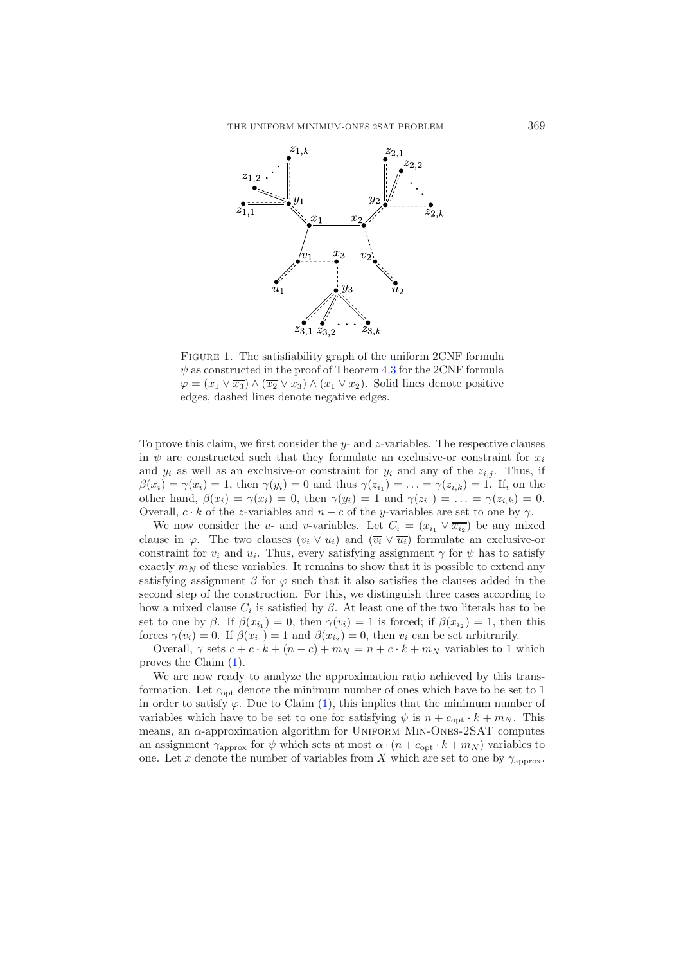THE UNIFORM MINIMUM-ONES 2SAT PROBLEM 369

<span id="page-6-0"></span>

FIGURE 1. The satisfiability graph of the uniform 2CNF formula  $\psi$  as constructed in the proof of Theorem [4.3](#page-3-2) for the 2CNF formula  $\varphi = (x_1 \vee \overline{x_3}) \wedge (\overline{x_2} \vee x_3) \wedge (x_1 \vee x_2)$ . Solid lines denote positive edges, dashed lines denote negative edges.

To prove this claim, we first consider the  $y$ - and  $z$ -variables. The respective clauses in  $\psi$  are constructed such that they formulate an exclusive-or constraint for  $x_i$ and  $y_i$  as well as an exclusive-or constraint for  $y_i$  and any of the  $z_{i,j}$ . Thus, if  $\beta(x_i) = \gamma(x_i) = 1$ , then  $\gamma(y_i) = 0$  and thus  $\gamma(z_{i_1}) = \ldots = \gamma(z_{i_k}) = 1$ . If, on the other hand,  $\beta(x_i) = \gamma(x_i) = 0$ , then  $\gamma(y_i) = 1$  and  $\gamma(z_{i_1}) = \ldots = \gamma(z_{i_k}) = 0$ . Overall,  $c \cdot k$  of the z-variables and  $n - c$  of the y-variables are set to one by  $\gamma$ .

We now consider the u- and v-variables. Let  $C_i = (x_{i_1} \vee \overline{x_{i_2}})$  be any mixed clause in  $\varphi$ . The two clauses  $(v_i \vee u_i)$  and  $(\overline{v_i} \vee \overline{u_i})$  formulate an exclusive-or constraint for  $v_i$  and  $u_i$ . Thus, every satisfying assignment  $\gamma$  for  $\psi$  has to satisfy exactly  $m_N$  of these variables. It remains to show that it is possible to extend any satisfying assignment  $\beta$  for  $\varphi$  such that it also satisfies the clauses added in the second step of the construction. For this, we distinguish three cases according to how a mixed clause  $C_i$  is satisfied by  $\beta$ . At least one of the two literals has to be set to one by β. If  $\beta(x_{i_1}) = 0$ , then  $\gamma(v_i) = 1$  is forced; if  $\beta(x_{i_2}) = 1$ , then this forces  $\gamma(v_i) = 0$ . If  $\beta(x_{i_1}) = 1$  and  $\beta(x_{i_2}) = 0$ , then  $v_i$  can be set arbitrarily.

Overall,  $\gamma$  sets  $c + c \cdot k + (n - c) + m_N = n + c \cdot k + m_N$  variables to 1 which proves the Claim [\(1\)](#page-5-0).

We are now ready to analyze the approximation ratio achieved by this transformation. Let  $c_{\text{opt}}$  denote the minimum number of ones which have to be set to 1 in order to satisfy  $\varphi$ . Due to Claim [\(1\)](#page-5-0), this implies that the minimum number of variables which have to be set to one for satisfying  $\psi$  is  $n + c_{opt} \cdot k + m_N$ . This means, an  $\alpha$ -approximation algorithm for UNIFORM MIN-ONES-2SAT computes an assignment  $\gamma_{\text{approx}}$  for  $\psi$  which sets at most  $\alpha \cdot (n + c_{\text{opt}} \cdot k + m_N)$  variables to one. Let x denote the number of variables from X which are set to one by  $\gamma_{\text{approx}}$ .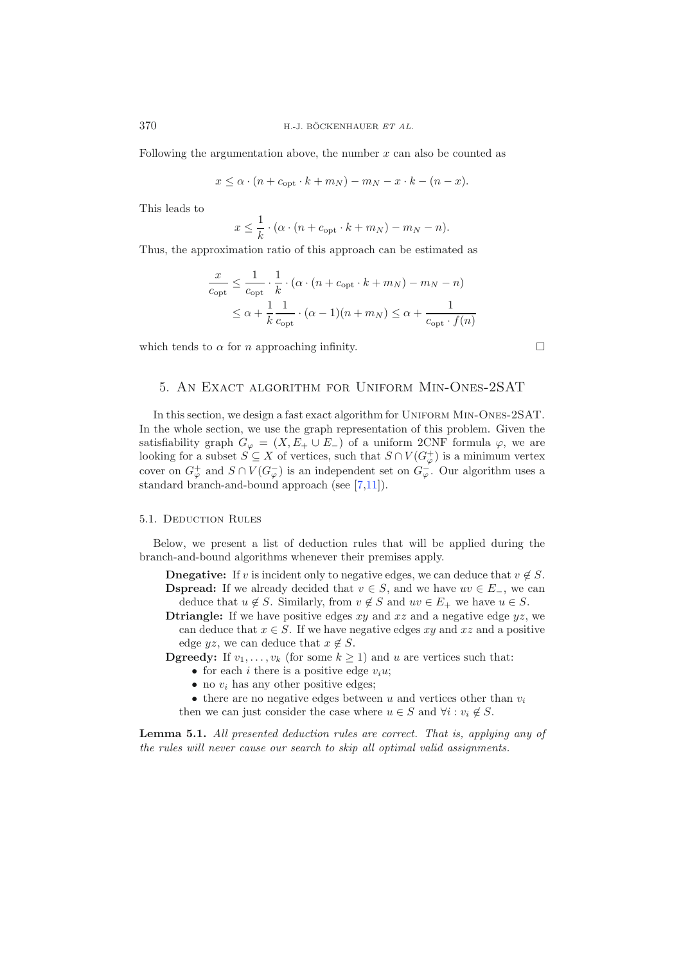Following the argumentation above, the number  $x$  can also be counted as

$$
x \le \alpha \cdot (n + c_{\text{opt}} \cdot k + m_N) - m_N - x \cdot k - (n - x).
$$

This leads to

$$
x \leq \frac{1}{k} \cdot (\alpha \cdot (n + c_{\text{opt}} \cdot k + m_N) - m_N - n).
$$

Thus, the approximation ratio of this approach can be estimated as

$$
\frac{x}{c_{\text{opt}}} \le \frac{1}{c_{\text{opt}}} \cdot \frac{1}{k} \cdot (\alpha \cdot (n + c_{\text{opt}} \cdot k + m_N) - m_N - n)
$$
  

$$
\le \alpha + \frac{1}{k} \frac{1}{c_{\text{opt}}} \cdot (\alpha - 1)(n + m_N) \le \alpha + \frac{1}{c_{\text{opt}} \cdot f(n)}
$$

<span id="page-7-0"></span>which tends to  $\alpha$  for n approaching infinity.

# 5. An Exact algorithm for Uniform Min-Ones-2SAT

In this section, we design a fast exact algorithm for UNIFORM MIN-ONES-2SAT. In the whole section, we use the graph representation of this problem. Given the satisfiability graph  $G_{\varphi} = (X, E_+ \cup E_-)$  of a uniform 2CNF formula  $\varphi$ , we are looking for a subset  $S \subseteq X$  of vertices, such that  $S \cap V(G_{\varphi}^+)$  is a minimum vertex cover on  $G^+_{\varphi}$  and  $S \cap V(G^-_{\varphi})$  is an independent set on  $G^-_{\varphi}$ . Our algorithm uses a standard branch-and-bound approach (see [\[7](#page-14-10)[,11\]](#page-14-11)).

#### 5.1. Deduction Rules

Below, we present a list of deduction rules that will be applied during the branch-and-bound algorithms whenever their premises apply.

**Dnegative:** If v is incident only to negative edges, we can deduce that  $v \notin S$ . **Dspread:** If we already decided that  $v \in S$ , and we have  $uv \in E_$ , we can deduce that  $u \notin S$ . Similarly, from  $v \notin S$  and  $uv \in E_+$  we have  $u \in S$ .

**Determinish** Details T if we have positive edges  $xy$  and  $xz$  and a negative edge  $yz$ , we can deduce that  $x \in S$ . If we have negative edges xy and xz and a positive edge yz, we can deduce that  $x \notin S$ .

**Dgreedy:** If  $v_1, \ldots, v_k$  (for some  $k \geq 1$ ) and u are vertices such that:

- for each i there is a positive edge  $v_i u$ ;
- no  $v_i$  has any other positive edges;
- there are no negative edges between  $u$  and vertices other than  $v_i$
- then we can just consider the case where  $u \in S$  and  $\forall i : v_i \notin S$ .

**Lemma 5.1.** *All presented deduction rules are correct. That is, applying any of the rules will never cause our search to skip all optimal valid assignments.*

 $\Box$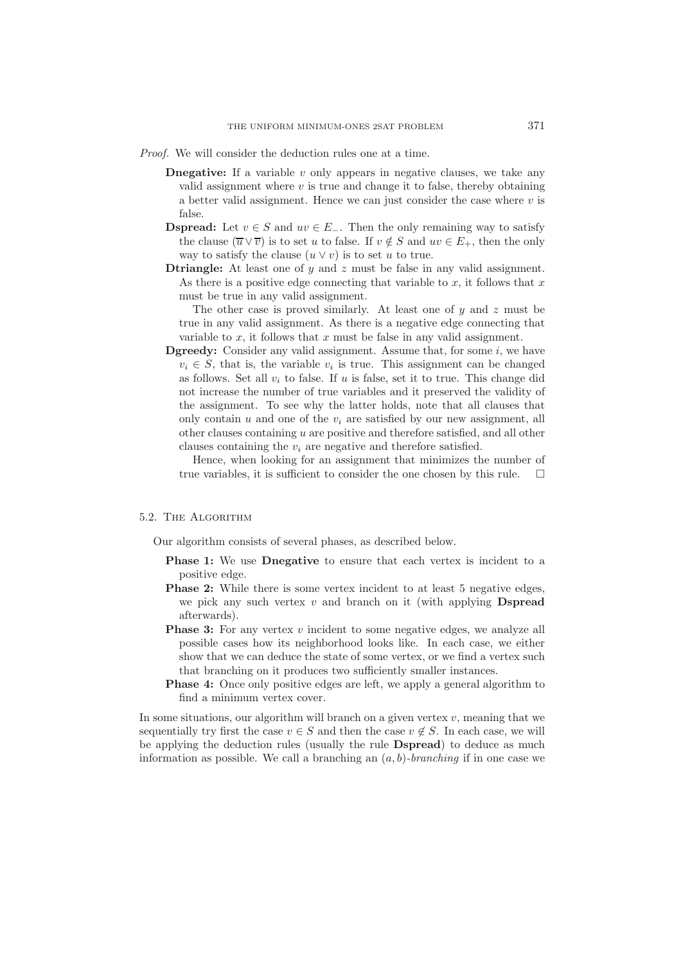- *Proof.* We will consider the deduction rules one at a time.
	- **Dnegative:** If a variable v only appears in negative clauses, we take any valid assignment where  $v$  is true and change it to false, thereby obtaining a better valid assignment. Hence we can just consider the case where  $v$  is false.
	- **Dspread:** Let  $v \in S$  and  $uv \in E_-.$  Then the only remaining way to satisfy the clause  $(\overline{u} \vee \overline{v})$  is to set u to false. If  $v \notin S$  and  $uv \in E_+$ , then the only way to satisfy the clause  $(u \vee v)$  is to set u to true.
	- **Dtriangle:** At least one of y and z must be false in any valid assignment. As there is a positive edge connecting that variable to  $x$ , it follows that  $x$ must be true in any valid assignment.

The other case is proved similarly. At least one of  $y$  and  $z$  must be true in any valid assignment. As there is a negative edge connecting that variable to x, it follows that x must be false in any valid assignment.

**Dgreedy:** Consider any valid assignment. Assume that, for some  $i$ , we have  $v_i \in S$ , that is, the variable  $v_i$  is true. This assignment can be changed as follows. Set all  $v_i$  to false. If u is false, set it to true. This change did not increase the number of true variables and it preserved the validity of the assignment. To see why the latter holds, note that all clauses that only contain  $u$  and one of the  $v_i$  are satisfied by our new assignment, all other clauses containing u are positive and therefore satisfied, and all other clauses containing the  $v_i$  are negative and therefore satisfied.

Hence, when looking for an assignment that minimizes the number of true variables, it is sufficient to consider the one chosen by this rule.  $\Box$ 

#### 5.2. The Algorithm

Our algorithm consists of several phases, as described below.

- **Phase 1:** We use **Dnegative** to ensure that each vertex is incident to a positive edge.
- **Phase 2:** While there is some vertex incident to at least 5 negative edges, we pick any such vertex v and branch on it (with applying **Dspread** afterwards).
- **Phase 3:** For any vertex v incident to some negative edges, we analyze all possible cases how its neighborhood looks like. In each case, we either show that we can deduce the state of some vertex, or we find a vertex such that branching on it produces two sufficiently smaller instances.
- **Phase 4:** Once only positive edges are left, we apply a general algorithm to find a minimum vertex cover.

In some situations, our algorithm will branch on a given vertex  $v$ , meaning that we sequentially try first the case  $v \in S$  and then the case  $v \notin S$ . In each case, we will be applying the deduction rules (usually the rule **Dspread**) to deduce as much information as possible. We call a branching an (a, b)*-branching* if in one case we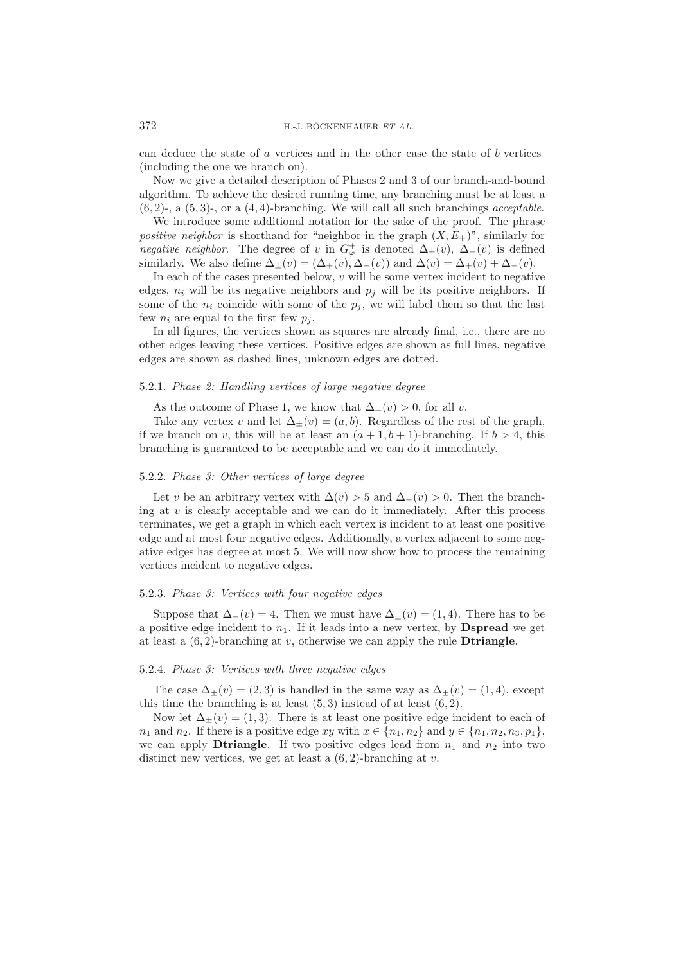can deduce the state of a vertices and in the other case the state of b vertices (including the one we branch on).

Now we give a detailed description of Phases 2 and 3 of our branch-and-bound algorithm. To achieve the desired running time, any branching must be at least a (6, 2)-, a (5, 3)-, or a (4, 4)-branching. We will call all such branchings *acceptable*.

We introduce some additional notation for the sake of the proof. The phrase *positive neighbor* is shorthand for "neighbor in the graph  $(X, E_+)$ ", similarly for *negative neighbor.* The degree of v in  $G^+_{\sigma}$  is denoted  $\Delta_{+}(v)$ ,  $\Delta_{-}(v)$  is defined similarly. We also define  $\Delta_{\pm}(v) = (\Delta_{+}(v), \Delta_{-}(v))$  and  $\Delta(v) = \Delta_{+}(v) + \Delta_{-}(v)$ .

In each of the cases presented below,  $v$  will be some vertex incident to negative edges,  $n_i$  will be its negative neighbors and  $p_j$  will be its positive neighbors. If some of the  $n_i$  coincide with some of the  $p_j$ , we will label them so that the last few  $n_i$  are equal to the first few  $p_i$ .

In all figures, the vertices shown as squares are already final, i.e., there are no other edges leaving these vertices. Positive edges are shown as full lines, negative edges are shown as dashed lines, unknown edges are dotted.

#### 5.2.1. *Phase 2: Handling vertices of large negative degree*

As the outcome of Phase 1, we know that  $\Delta_{+}(v) > 0$ , for all v.

Take any vertex v and let  $\Delta_{\pm}(v)=(a, b)$ . Regardless of the rest of the graph, if we branch on v, this will be at least an  $(a + 1, b + 1)$ -branching. If  $b > 4$ , this branching is guaranteed to be acceptable and we can do it immediately.

#### 5.2.2. *Phase 3: Other vertices of large degree*

Let v be an arbitrary vertex with  $\Delta(v) > 5$  and  $\Delta(v) > 0$ . Then the branching at  $v$  is clearly acceptable and we can do it immediately. After this process terminates, we get a graph in which each vertex is incident to at least one positive edge and at most four negative edges. Additionally, a vertex adjacent to some negative edges has degree at most 5. We will now show how to process the remaining vertices incident to negative edges.

### 5.2.3. *Phase 3: Vertices with four negative edges*

Suppose that  $\Delta_-(v) = 4$ . Then we must have  $\Delta_{\pm}(v) = (1, 4)$ . There has to be a positive edge incident to  $n_1$ . If it leads into a new vertex, by **Dspread** we get at least a (6, 2)-branching at v, otherwise we can apply the rule **Dtriangle**.

#### 5.2.4. *Phase 3: Vertices with three negative edges*

The case  $\Delta_{\pm}(v) = (2,3)$  is handled in the same way as  $\Delta_{\pm}(v) = (1,4)$ , except this time the branching is at least  $(5, 3)$  instead of at least  $(6, 2)$ .

Now let  $\Delta_{\pm}(v) = (1,3)$ . There is at least one positive edge incident to each of  $n_1$  and  $n_2$ . If there is a positive edge xy with  $x \in \{n_1, n_2\}$  and  $y \in \{n_1, n_2, n_3, p_1\}$ , we can apply **Dtriangle**. If two positive edges lead from  $n_1$  and  $n_2$  into two distinct new vertices, we get at least a  $(6, 2)$ -branching at v.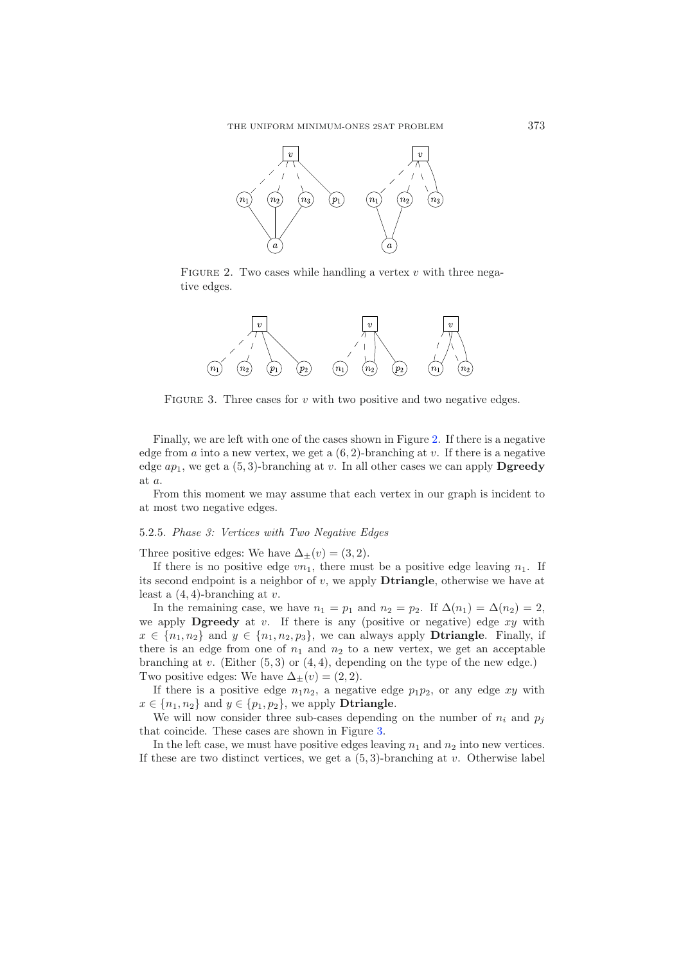<span id="page-10-0"></span>THE UNIFORM MINIMUM-ONES 2SAT PROBLEM 373

<span id="page-10-1"></span>

FIGURE 2. Two cases while handling a vertex  $v$  with three negative edges.



FIGURE 3. Three cases for  $v$  with two positive and two negative edges.

Finally, we are left with one of the cases shown in Figure [2.](#page-10-0) If there is a negative edge from a into a new vertex, we get a  $(6, 2)$ -branching at v. If there is a negative edge  $ap_1$ , we get a  $(5, 3)$ -branching at v. In all other cases we can apply **Dgreedy** at a.

From this moment we may assume that each vertex in our graph is incident to at most two negative edges.

#### 5.2.5. *Phase 3: Vertices with Two Negative Edges*

Three positive edges: We have  $\Delta_{\pm}(v) = (3, 2)$ .

If there is no positive edge  $vn_1$ , there must be a positive edge leaving  $n_1$ . If its second endpoint is a neighbor of v, we apply **Dtriangle**, otherwise we have at least a  $(4, 4)$ -branching at v.

In the remaining case, we have  $n_1 = p_1$  and  $n_2 = p_2$ . If  $\Delta(n_1) = \Delta(n_2) = 2$ , we apply **Dgreedy** at v. If there is any (positive or negative) edge  $xy$  with  $x \in \{n_1, n_2\}$  and  $y \in \{n_1, n_2, p_3\}$ , we can always apply **Dtriangle**. Finally, if there is an edge from one of  $n_1$  and  $n_2$  to a new vertex, we get an acceptable branching at  $v$ . (Either  $(5, 3)$  or  $(4, 4)$ , depending on the type of the new edge.) Two positive edges: We have  $\Delta_{+}(v) = (2, 2)$ .

If there is a positive edge  $n_1n_2$ , a negative edge  $p_1p_2$ , or any edge xy with  $x \in \{n_1, n_2\}$  and  $y \in \{p_1, p_2\}$ , we apply **Dtriangle**.

We will now consider three sub-cases depending on the number of  $n_i$  and  $p_j$ that coincide. These cases are shown in Figure [3.](#page-10-1)

In the left case, we must have positive edges leaving  $n_1$  and  $n_2$  into new vertices. If these are two distinct vertices, we get a  $(5,3)$ -branching at v. Otherwise label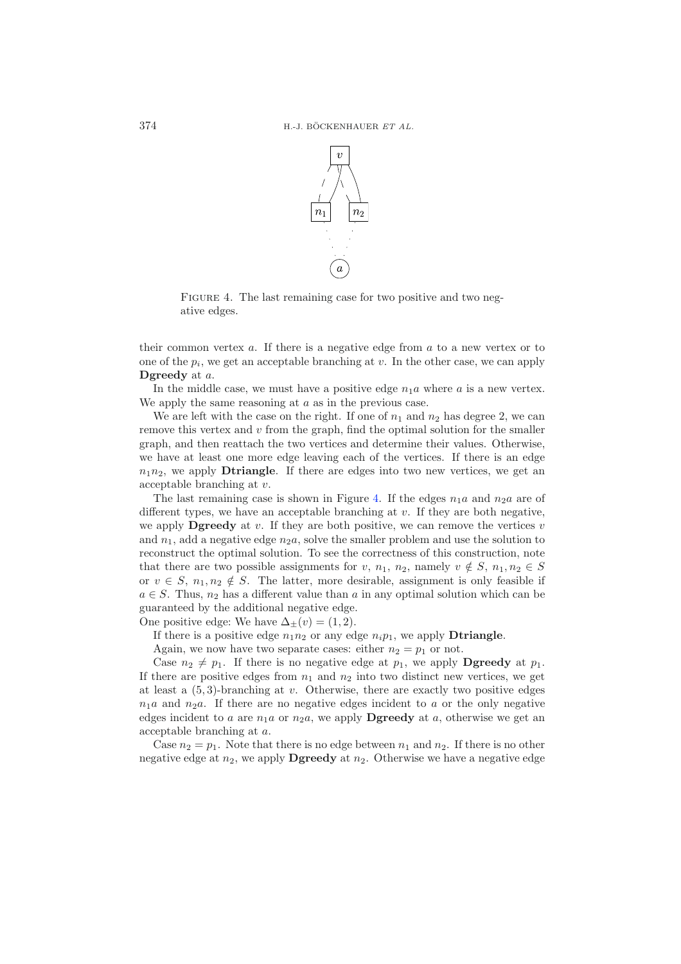<span id="page-11-0"></span>

FIGURE 4. The last remaining case for two positive and two negative edges.

their common vertex  $a$ . If there is a negative edge from  $a$  to a new vertex or to one of the  $p_i$ , we get an acceptable branching at v. In the other case, we can apply **Dgreedy** at a.

In the middle case, we must have a positive edge  $n_1a$  where a is a new vertex. We apply the same reasoning at  $a$  as in the previous case.

We are left with the case on the right. If one of  $n_1$  and  $n_2$  has degree 2, we can remove this vertex and  $v$  from the graph, find the optimal solution for the smaller graph, and then reattach the two vertices and determine their values. Otherwise, we have at least one more edge leaving each of the vertices. If there is an edge  $n_1n_2$ , we apply **Dtriangle**. If there are edges into two new vertices, we get an acceptable branching at v.

The last remaining case is shown in Figure [4.](#page-11-0) If the edges  $n_1a$  and  $n_2a$  are of different types, we have an acceptable branching at  $v$ . If they are both negative, we apply **Dgreedy** at v. If they are both positive, we can remove the vertices  $v$ and  $n_1$ , add a negative edge  $n_2a$ , solve the smaller problem and use the solution to reconstruct the optimal solution. To see the correctness of this construction, note that there are two possible assignments for v,  $n_1$ ,  $n_2$ , namely  $v \notin S$ ,  $n_1, n_2 \in S$ or  $v \in S$ ,  $n_1, n_2 \notin S$ . The latter, more desirable, assignment is only feasible if  $a \in S$ . Thus,  $n_2$  has a different value than a in any optimal solution which can be guaranteed by the additional negative edge.

One positive edge: We have  $\Delta_{+}(v) = (1, 2)$ .

If there is a positive edge  $n_1n_2$  or any edge  $n_ip_1$ , we apply **Dtriangle**.

Again, we now have two separate cases: either  $n_2 = p_1$  or not.

Case  $n_2 \neq p_1$ . If there is no negative edge at  $p_1$ , we apply **Dgreedy** at  $p_1$ . If there are positive edges from  $n_1$  and  $n_2$  into two distinct new vertices, we get at least a  $(5, 3)$ -branching at v. Otherwise, there are exactly two positive edges  $n_1a$  and  $n_2a$ . If there are no negative edges incident to a or the only negative edges incident to a are  $n_1a$  or  $n_2a$ , we apply **Dgreedy** at a, otherwise we get an acceptable branching at a.

Case  $n_2 = p_1$ . Note that there is no edge between  $n_1$  and  $n_2$ . If there is no other negative edge at  $n_2$ , we apply **Dgreedy** at  $n_2$ . Otherwise we have a negative edge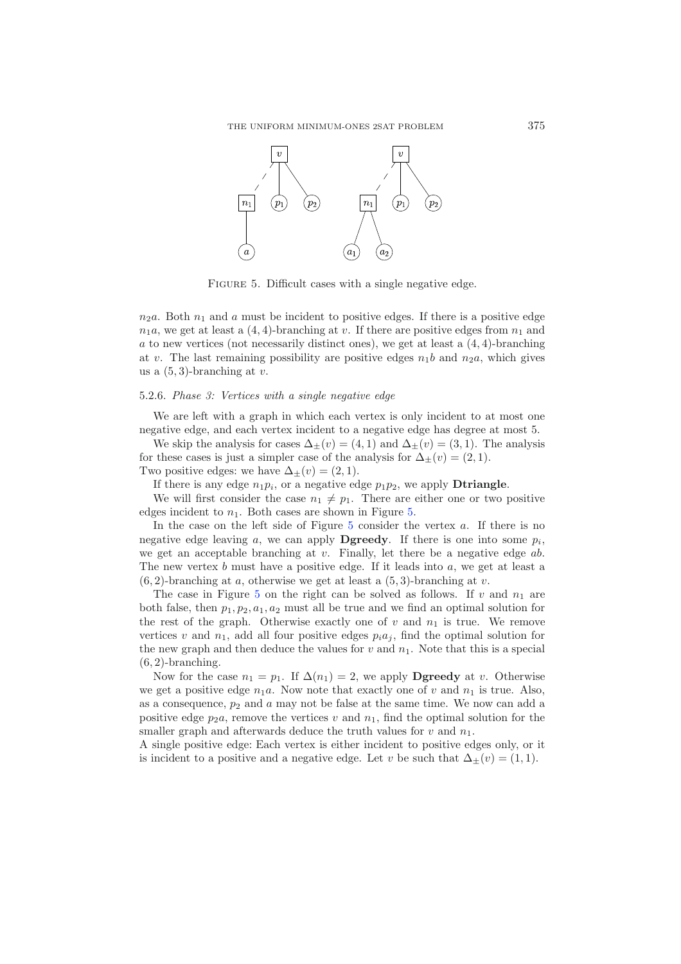<span id="page-12-0"></span>

FIGURE 5. Difficult cases with a single negative edge.

 $n_2a$ . Both  $n_1$  and a must be incident to positive edges. If there is a positive edge  $n_1a$ , we get at least a  $(4, 4)$ -branching at v. If there are positive edges from  $n_1$  and  $a$  to new vertices (not necessarily distinct ones), we get at least a  $(4, 4)$ -branching at v. The last remaining possibility are positive edges  $n_1b$  and  $n_2a$ , which gives us a  $(5, 3)$ -branching at v.

# 5.2.6. *Phase 3: Vertices with a single negative edge*

We are left with a graph in which each vertex is only incident to at most one negative edge, and each vertex incident to a negative edge has degree at most 5.

We skip the analysis for cases  $\Delta_{\pm}(v) = (4, 1)$  and  $\Delta_{\pm}(v) = (3, 1)$ . The analysis for these cases is just a simpler case of the analysis for  $\Delta_{+}(v) = (2, 1)$ . Two positive edges: we have  $\Delta_{\pm}(v) = (2, 1)$ .

If there is any edge  $n_1p_i$ , or a negative edge  $p_1p_2$ , we apply **Dtriangle**.

We will first consider the case  $n_1 \neq p_1$ . There are either one or two positive edges incident to  $n_1$ . Both cases are shown in Figure [5.](#page-12-0)

In the case on the left side of Figure [5](#page-12-0) consider the vertex a. If there is no negative edge leaving a, we can apply **Dgreedy**. If there is one into some  $p_i$ , we get an acceptable branching at  $v$ . Finally, let there be a negative edge  $ab$ . The new vertex b must have a positive edge. If it leads into a, we get at least a  $(6, 2)$ -branching at a, otherwise we get at least a  $(5, 3)$ -branching at v.

The case in Figure [5](#page-12-0) on the right can be solved as follows. If  $v$  and  $n_1$  are both false, then  $p_1, p_2, a_1, a_2$  must all be true and we find an optimal solution for the rest of the graph. Otherwise exactly one of  $v$  and  $n_1$  is true. We remove vertices v and  $n_1$ , add all four positive edges  $p_i a_j$ , find the optimal solution for the new graph and then deduce the values for v and  $n_1$ . Note that this is a special  $(6, 2)$ -branching.

Now for the case  $n_1 = p_1$ . If  $\Delta(n_1) = 2$ , we apply **Dgreedy** at v. Otherwise we get a positive edge  $n_1a$ . Now note that exactly one of v and  $n_1$  is true. Also, as a consequence,  $p_2$  and a may not be false at the same time. We now can add a positive edge  $p_2a$ , remove the vertices v and  $n_1$ , find the optimal solution for the smaller graph and afterwards deduce the truth values for  $v$  and  $n_1$ .

A single positive edge: Each vertex is either incident to positive edges only, or it is incident to a positive and a negative edge. Let v be such that  $\Delta_{+}(v) = (1, 1)$ .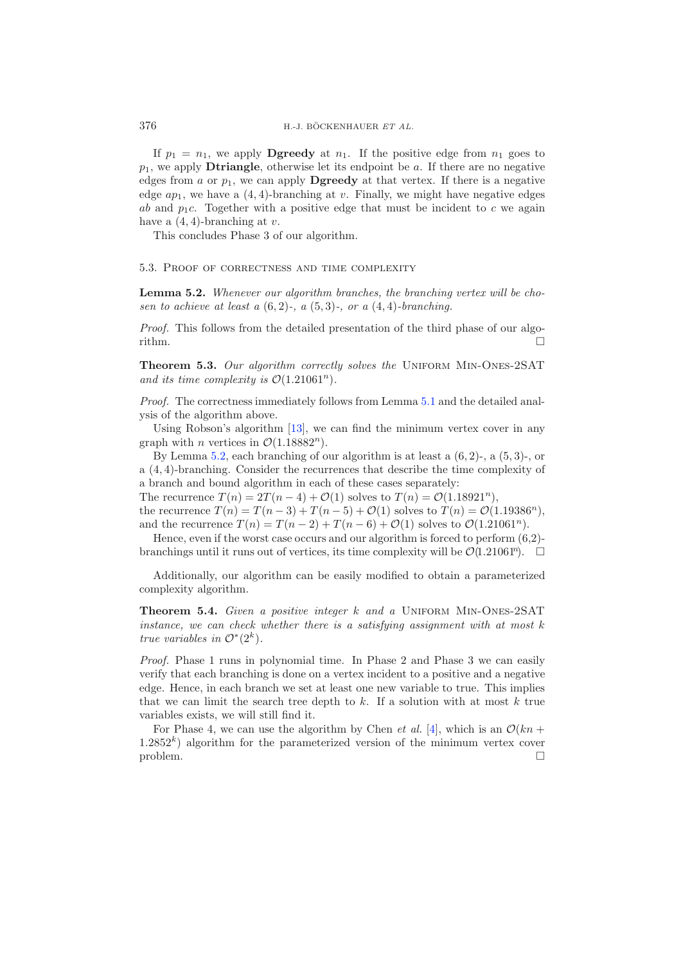If  $p_1 = n_1$ , we apply **Dgreedy** at  $n_1$ . If the positive edge from  $n_1$  goes to  $p_1$ , we apply **Dtriangle**, otherwise let its endpoint be a. If there are no negative edges from  $a$  or  $p_1$ , we can apply **Dgreedy** at that vertex. If there is a negative edge  $ap_1$ , we have a  $(4, 4)$ -branching at v. Finally, we might have negative edges ab and  $p_1c$ . Together with a positive edge that must be incident to c we again have a  $(4, 4)$ -branching at v.

This concludes Phase 3 of our algorithm.

5.3. Proof of correctness and time complexity

**Lemma 5.2.** *Whenever our algorithm branches, the branching vertex will be chosen to achieve at least a* (6, 2)*-, a* (5, 3)*-, or a* (4, 4)*-branching.*

*Proof.* This follows from the detailed presentation of the third phase of our algo $r$ ithm.

**Theorem 5.3.** *Our algorithm correctly solves the* Uniform Min-Ones-2SAT *and its time complexity is*  $\mathcal{O}(1.21061^n)$ *.* 

*Proof.* The correctness immediately follows from Lemma [5.1](#page-2-1) and the detailed analysis of the algorithm above.

Using Robson's algorithm [\[13\]](#page-14-12), we can find the minimum vertex cover in any graph with *n* vertices in  $\mathcal{O}(1.18882^n)$ .

By Lemma [5.2,](#page-2-2) each branching of our algorithm is at least a  $(6, 2)$ -, a  $(5, 3)$ -, or a (4, 4)-branching. Consider the recurrences that describe the time complexity of a branch and bound algorithm in each of these cases separately:

The recurrence  $T(n)=2T (n-4) + \mathcal{O}(1)$  solves to  $T (n) = \mathcal{O}(1.18921^n)$ ,

the recurrence  $T(n) = T(n-3) + T(n-5) + \mathcal{O}(1)$  solves to  $T(n) = \mathcal{O}(1.19386^n)$ . and the recurrence  $T(n) = T(n-2) + T(n-6) + O(1)$  solves to  $O(1.21061<sup>n</sup>)$ .

Hence, even if the worst case occurs and our algorithm is forced to perform (6,2) branchings until it runs out of vertices, its time complexity will be  $\mathcal{O}(1.21061<sup>n</sup>)$ .  $\Box$ 

Additionally, our algorithm can be easily modified to obtain a parameterized complexity algorithm.

**Theorem 5.4.** *Given a positive integer* k *and a* Uniform Min-Ones-2SAT *instance, we can check whether there is a satisfying assignment with at most* k *true variables in*  $\mathcal{O}^*(2^k)$ *.* 

*Proof.* Phase 1 runs in polynomial time. In Phase 2 and Phase 3 we can easily verify that each branching is done on a vertex incident to a positive and a negative edge. Hence, in each branch we set at least one new variable to true. This implies that we can limit the search tree depth to  $k$ . If a solution with at most  $k$  true variables exists, we will still find it.

For Phase 4, we can use the algorithm by Chen *et al.* [\[4](#page-14-13)], which is an  $\mathcal{O}(kn + 1)$  $1.2852<sup>k</sup>$ ) algorithm for the parameterized version of the minimum vertex cover  $\Box$